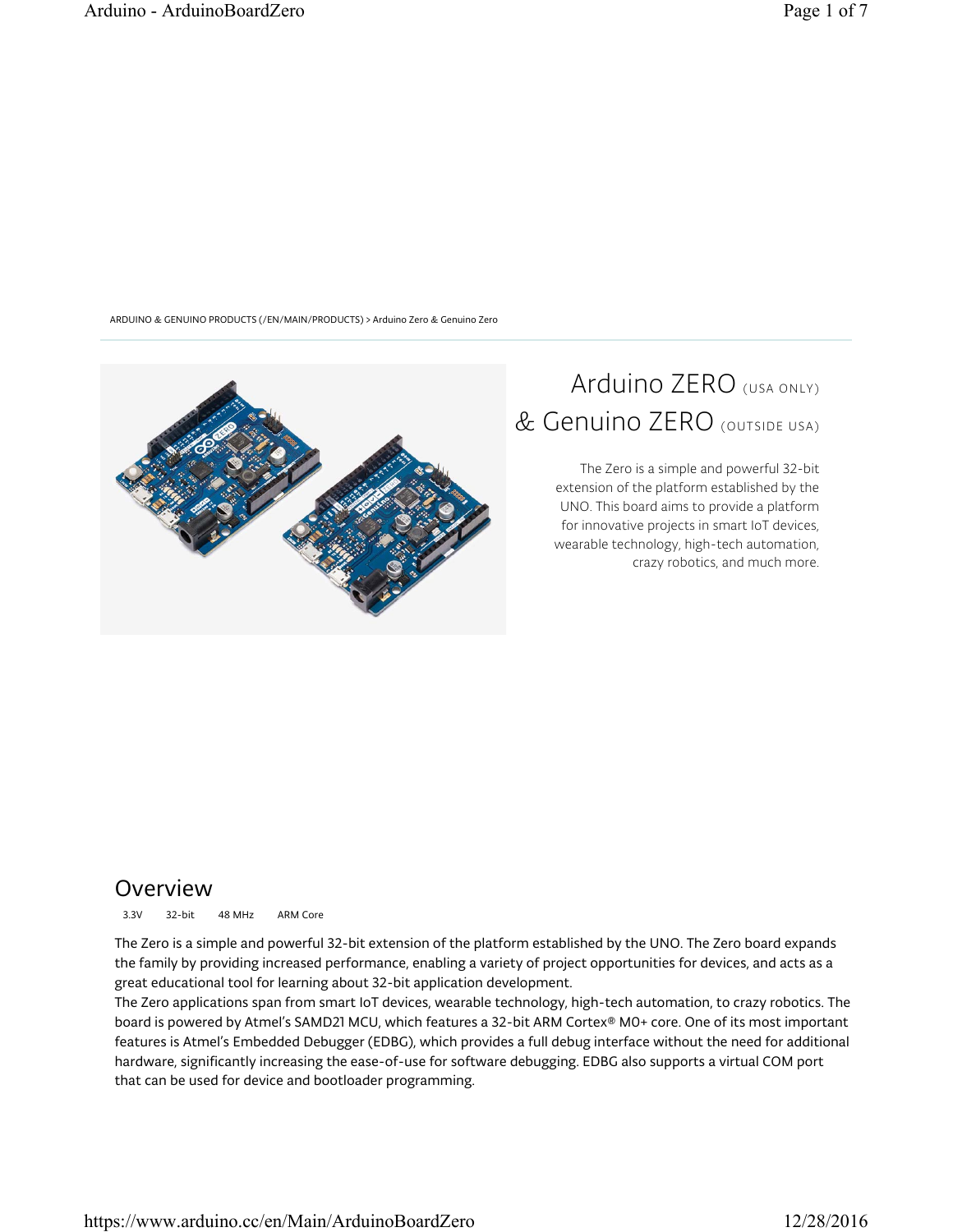ARDUINO & GENUINO PRODUCTS (/EN/MAIN/PRODUCTS) > Arduino Zero & Genuino Zero



# Arduino ZERO (USA ONLY) & Genuino ZERO (OUTSIDE USA)

The Zero is a simple and powerful 32-bit extension of the platform established by the UNO. This board aims to provide a platform for innovative projects in smart IoT devices, wearable technology, high-tech automation, crazy robotics, and much more.

### Overview

3.3V 32-bit 48 MHz ARM Core

The Zero is a simple and powerful 32-bit extension of the platform established by the UNO. The Zero board expands the family by providing increased performance, enabling a variety of project opportunities for devices, and acts as a great educational tool for learning about 32-bit application development.

The Zero applications span from smart IoT devices, wearable technology, high-tech automation, to crazy robotics. The board is powered by Atmel's SAMD21 MCU, which features a 32-bit ARM Cortex® M0+ core. One of its most important features is Atmel's Embedded Debugger (EDBG), which provides a full debug interface without the need for additional hardware, significantly increasing the ease-of-use for software debugging. EDBG also supports a virtual COM port that can be used for device and bootloader programming.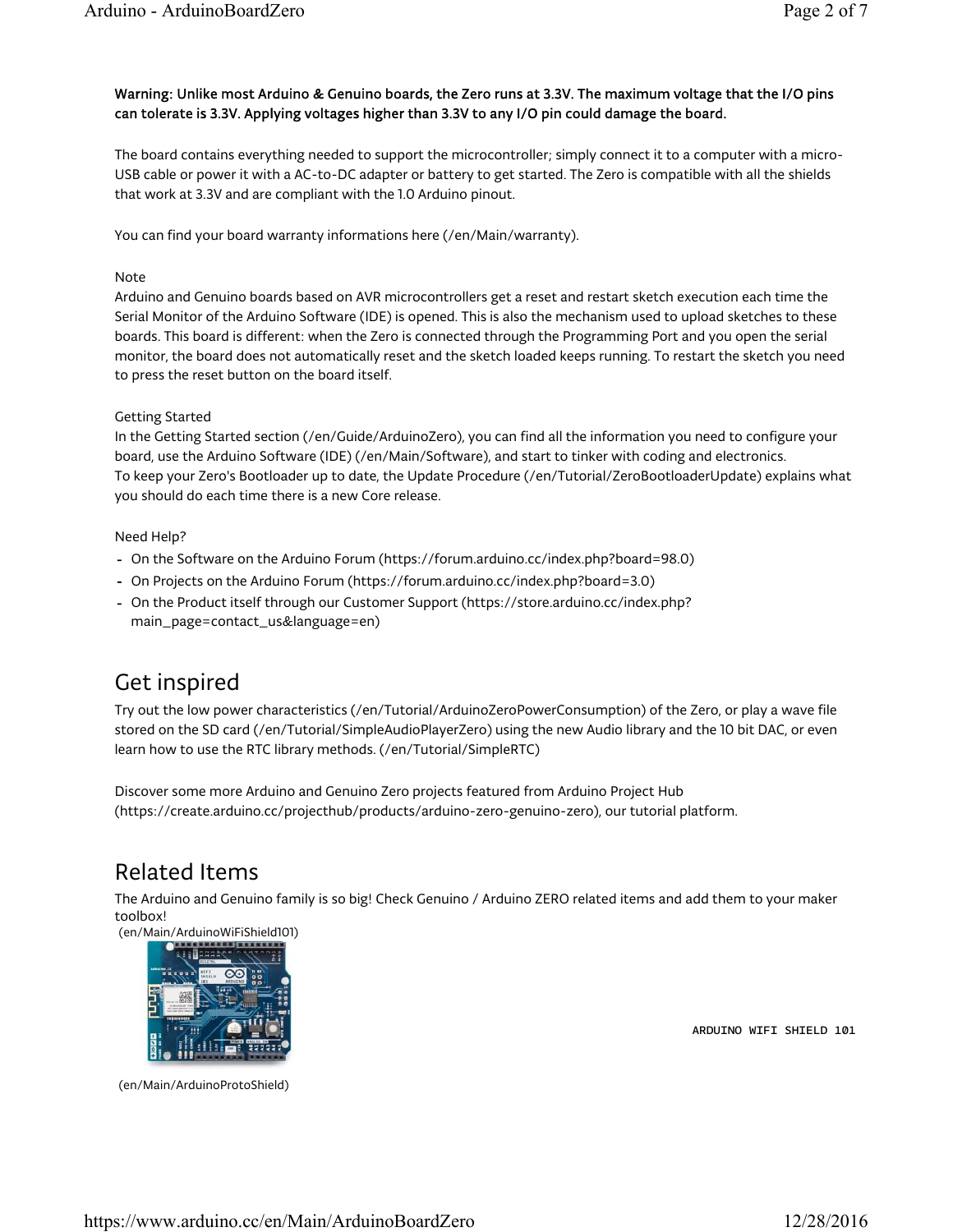#### Warning: Unlike most Arduino & Genuino boards, the Zero runs at 3.3V. The maximum voltage that the I/O pins can tolerate is 3.3V. Applying voltages higher than 3.3V to any I/O pin could damage the board.

The board contains everything needed to support the microcontroller; simply connect it to a computer with a micro-USB cable or power it with a AC-to-DC adapter or battery to get started. The Zero is compatible with all the shields that work at 3.3V and are compliant with the 1.0 Arduino pinout.

You can find your board warranty informations here (/en/Main/warranty).

#### Note

Arduino and Genuino boards based on AVR microcontrollers get a reset and restart sketch execution each time the Serial Monitor of the Arduino Software (IDE) is opened. This is also the mechanism used to upload sketches to these boards. This board is different: when the Zero is connected through the Programming Port and you open the serial monitor, the board does not automatically reset and the sketch loaded keeps running. To restart the sketch you need to press the reset button on the board itself.

#### Getting Started

In the Getting Started section (/en/Guide/ArduinoZero), you can find all the information you need to configure your board, use the Arduino Software (IDE) (/en/Main/Software), and start to tinker with coding and electronics. To keep your Zero's Bootloader up to date, the Update Procedure (/en/Tutorial/ZeroBootloaderUpdate) explains what you should do each time there is a new Core release.

#### Need Help?

- On the Software on the Arduino Forum (https://forum.arduino.cc/index.php?board=98.0) -
- On Projects on the Arduino Forum (https://forum.arduino.cc/index.php?board=3.0) -
- On the Product itself through our Customer Support (https://store.arduino.cc/index.php? main\_page=contact\_us&language=en)

### Get inspired

Try out the low power characteristics (/en/Tutorial/ArduinoZeroPowerConsumption) of the Zero, or play a wave file stored on the SD card (/en/Tutorial/SimpleAudioPlayerZero) using the new Audio library and the 10 bit DAC, or even learn how to use the RTC library methods. (/en/Tutorial/SimpleRTC)

Discover some more Arduino and Genuino Zero projects featured from Arduino Project Hub (https://create.arduino.cc/projecthub/products/arduino-zero-genuino-zero), our tutorial platform.

### Related Items

The Arduino and Genuino family is so big! Check Genuino / Arduino ZERO related items and add them to your maker toolbox!

(en/Main/ArduinoWiFiShield101)



(en/Main/ArduinoProtoShield)

ARDUINO WIFI SHIELD 101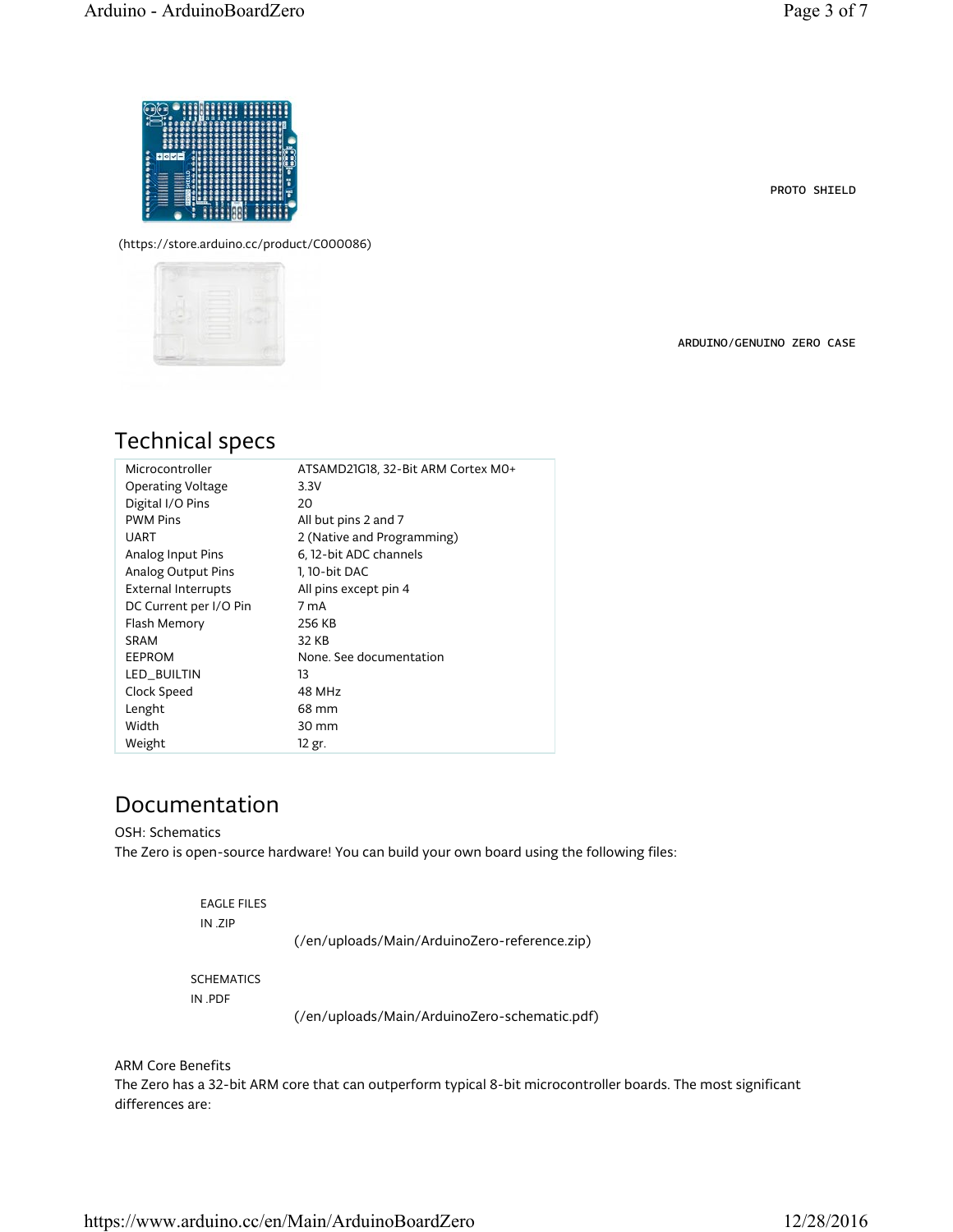PROTO SHIELD



(https://store.arduino.cc/product/C000086)



ARDUINO/GENUINO ZERO CASE

## Technical specs

| Microcontroller            | ATSAMD21G18, 32-Bit ARM Cortex MO+ |
|----------------------------|------------------------------------|
| Operating Voltage          | 3.3V                               |
| Digital I/O Pins           | 20                                 |
| <b>PWM Pins</b>            | All but pins 2 and 7               |
| UART                       | 2 (Native and Programming)         |
| Analog Input Pins          | 6, 12-bit ADC channels             |
| Analog Output Pins         | 1, 10-bit DAC                      |
| <b>External Interrupts</b> | All pins except pin 4              |
| DC Current per I/O Pin     | 7 mA                               |
| Flash Memory               | 256 KB                             |
| SRAM                       | 32 KB                              |
| EEPROM                     | None. See documentation            |
| LED BUILTIN                | 13                                 |
| Clock Speed                | 48 MHz                             |
| Lenght                     | 68 mm                              |
| Width                      | 30 mm                              |
| Weight                     | 12 gr.                             |

## Documentation

OSH: Schematics

The Zero is open-source hardware! You can build your own board using the following files:

| EAGLE FILES<br>IN ZIP | (/en/uploads/Main/ArduinoZero-reference.zip) |
|-----------------------|----------------------------------------------|
| <b>SCHEMATICS</b>     |                                              |

IN .PDF

(/en/uploads/Main/ArduinoZero-schematic.pdf)

ARM Core Benefits

The Zero has a 32-bit ARM core that can outperform typical 8-bit microcontroller boards. The most significant differences are: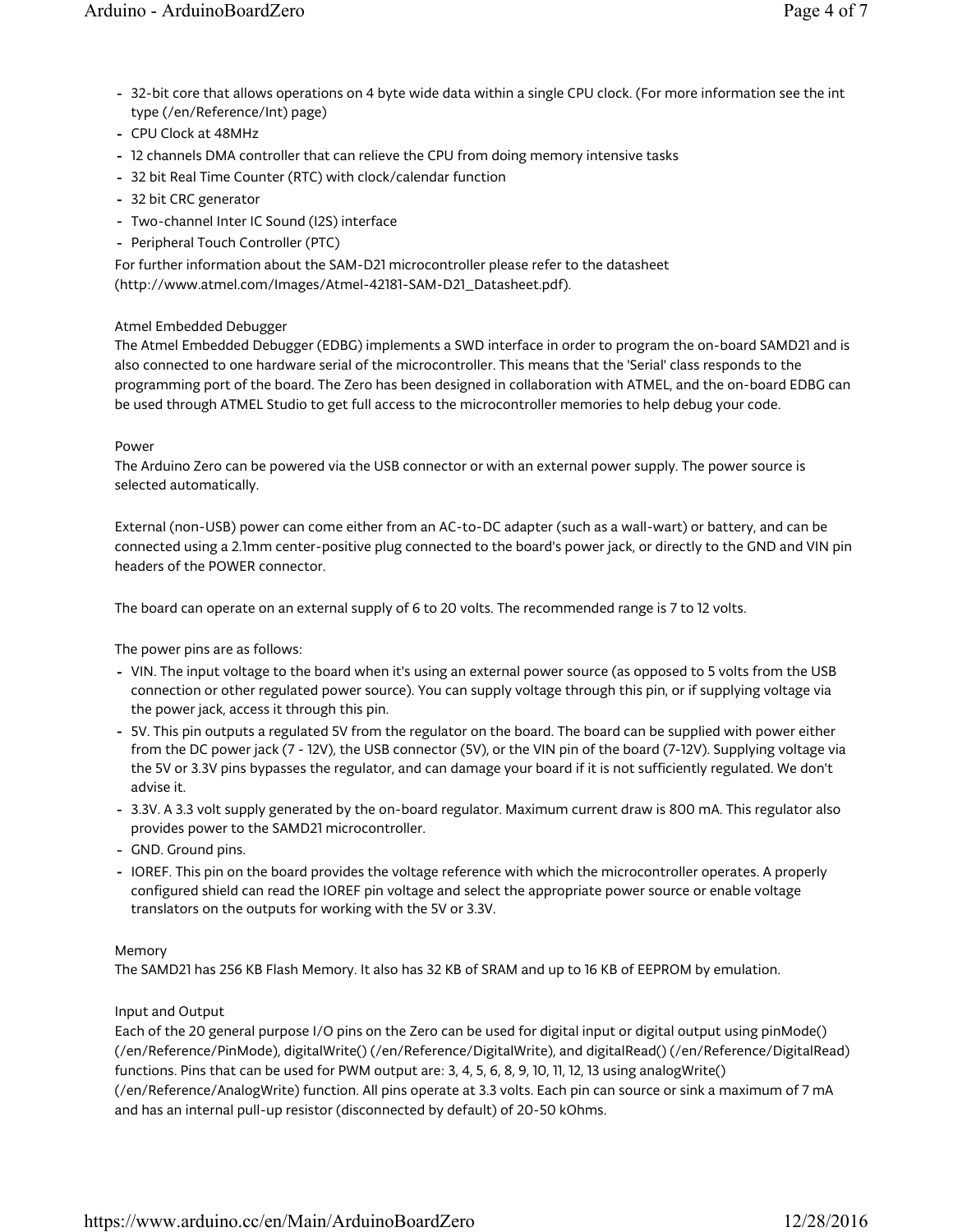- 32-bit core that allows operations on 4 byte wide data within a single CPU clock. (For more information see the int type (/en/Reference/Int) page)
- CPU Clock at 48MHz -
- 12 channels DMA controller that can relieve the CPU from doing memory intensive tasks
- 32 bit Real Time Counter (RTC) with clock/calendar function -
- 32 bit CRC generator -
- Two-channel Inter IC Sound (I2S) interface -
- Peripheral Touch Controller (PTC)

For further information about the SAM-D21 microcontroller please refer to the datasheet (http://www.atmel.com/Images/Atmel-42181-SAM-D21\_Datasheet.pdf).

#### Atmel Embedded Debugger

The Atmel Embedded Debugger (EDBG) implements a SWD interface in order to program the on-board SAMD21 and is also connected to one hardware serial of the microcontroller. This means that the 'Serial' class responds to the programming port of the board. The Zero has been designed in collaboration with ATMEL, and the on-board EDBG can be used through ATMEL Studio to get full access to the microcontroller memories to help debug your code.

#### Power

The Arduino Zero can be powered via the USB connector or with an external power supply. The power source is selected automatically.

External (non-USB) power can come either from an AC-to-DC adapter (such as a wall-wart) or battery, and can be connected using a 2.1mm center-positive plug connected to the board's power jack, or directly to the GND and VIN pin headers of the POWER connector.

The board can operate on an external supply of 6 to 20 volts. The recommended range is 7 to 12 volts.

The power pins are as follows:

- VIN. The input voltage to the board when it's using an external power source (as opposed to 5 volts from the USB connection or other regulated power source). You can supply voltage through this pin, or if supplying voltage via the power jack, access it through this pin.
- 5V. This pin outputs a regulated 5V from the regulator on the board. The board can be supplied with power either from the DC power jack (7 - 12V), the USB connector (5V), or the VIN pin of the board (7-12V). Supplying voltage via the 5V or 3.3V pins bypasses the regulator, and can damage your board if it is not sufficiently regulated. We don't advise it.
- 3.3V. A 3.3 volt supply generated by the on-board regulator. Maximum current draw is 800 mA. This regulator also provides power to the SAMD21 microcontroller.
- GND. Ground pins.
- IOREF. This pin on the board provides the voltage reference with which the microcontroller operates. A properly configured shield can read the IOREF pin voltage and select the appropriate power source or enable voltage translators on the outputs for working with the 5V or 3.3V.

#### Memory

The SAMD21 has 256 KB Flash Memory. It also has 32 KB of SRAM and up to 16 KB of EEPROM by emulation.

#### Input and Output

Each of the 20 general purpose I/O pins on the Zero can be used for digital input or digital output using pinMode() (/en/Reference/PinMode), digitalWrite() (/en/Reference/DigitalWrite), and digitalRead() (/en/Reference/DigitalRead) functions. Pins that can be used for PWM output are: 3, 4, 5, 6, 8, 9, 10, 11, 12, 13 using analogWrite() (/en/Reference/AnalogWrite) function. All pins operate at 3.3 volts. Each pin can source or sink a maximum of 7 mA and has an internal pull-up resistor (disconnected by default) of 20-50 kOhms.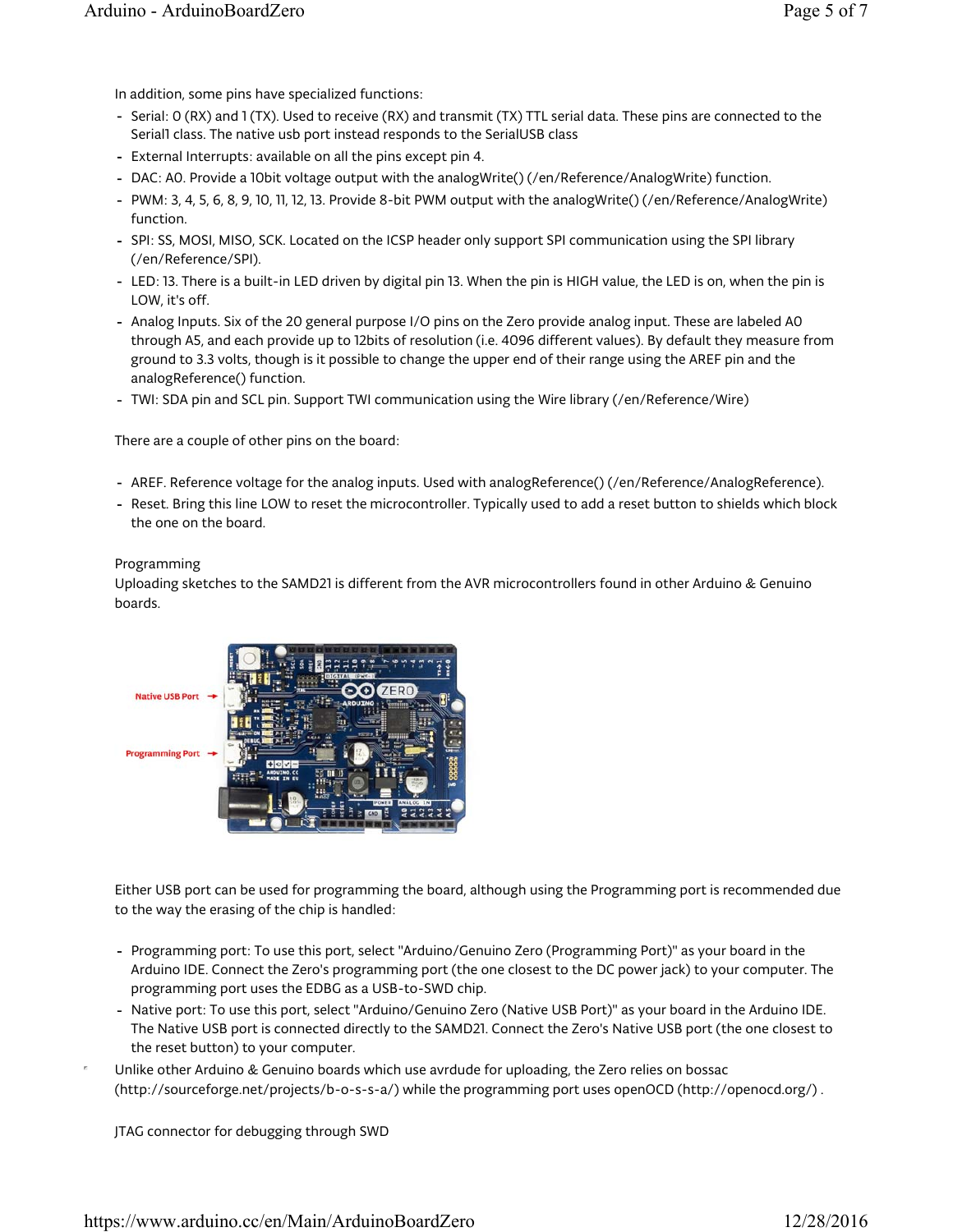In addition, some pins have specialized functions:

- Serial: O (RX) and 1 (TX). Used to receive (RX) and transmit (TX) TTL serial data. These pins are connected to the Serial1 class. The native usb port instead responds to the SerialUSB class
- External Interrupts: available on all the pins except pin 4.
- DAC: A0. Provide a 10bit voltage output with the analogWrite() (/en/Reference/AnalogWrite) function.
- PWM: 3, 4, 5, 6, 8, 9, 10, 11, 12, 13. Provide 8-bit PWM output with the analogWrite() (/en/Reference/AnalogWrite) function.
- SPI: SS, MOSI, MISO, SCK. Located on the ICSP header only support SPI communication using the SPI library (/en/Reference/SPI).
- LED: 13. There is a built-in LED driven by digital pin 13. When the pin is HIGH value, the LED is on, when the pin is LOW, it's off.
- Analog Inputs. Six of the 20 general purpose I/O pins on the Zero provide analog input. These are labeled A0 through A5, and each provide up to 12bits of resolution (i.e. 4096 different values). By default they measure from ground to 3.3 volts, though is it possible to change the upper end of their range using the AREF pin and the analogReference() function.
- TWI: SDA pin and SCL pin. Support TWI communication using the Wire library (/en/Reference/Wire) -

There are a couple of other pins on the board:

- AREF. Reference voltage for the analog inputs. Used with analogReference() (/en/Reference/AnalogReference).
- Reset. Bring this line LOW to reset the microcontroller. Typically used to add a reset button to shields which block the one on the board.

#### Programming

Uploading sketches to the SAMD21 is different from the AVR microcontrollers found in other Arduino & Genuino boards.



Either USB port can be used for programming the board, although using the Programming port is recommended due to the way the erasing of the chip is handled:

- Programming port: To use this port, select "Arduino/Genuino Zero (Programming Port)" as your board in the Arduino IDE. Connect the Zero's programming port (the one closest to the DC power jack) to your computer. The programming port uses the EDBG as a USB-to-SWD chip.
- Native port: To use this port, select "Arduino/Genuino Zero (Native USB Port)" as your board in the Arduino IDE. The Native USB port is connected directly to the SAMD21. Connect the Zero's Native USB port (the one closest to the reset button) to your computer.
- Unlike other Arduino & Genuino boards which use avrdude for uploading, the Zero relies on bossac (http://sourceforge.net/projects/b-o-s-s-a/) while the programming port uses openOCD (http://openocd.org/) .

JTAG connector for debugging through SWD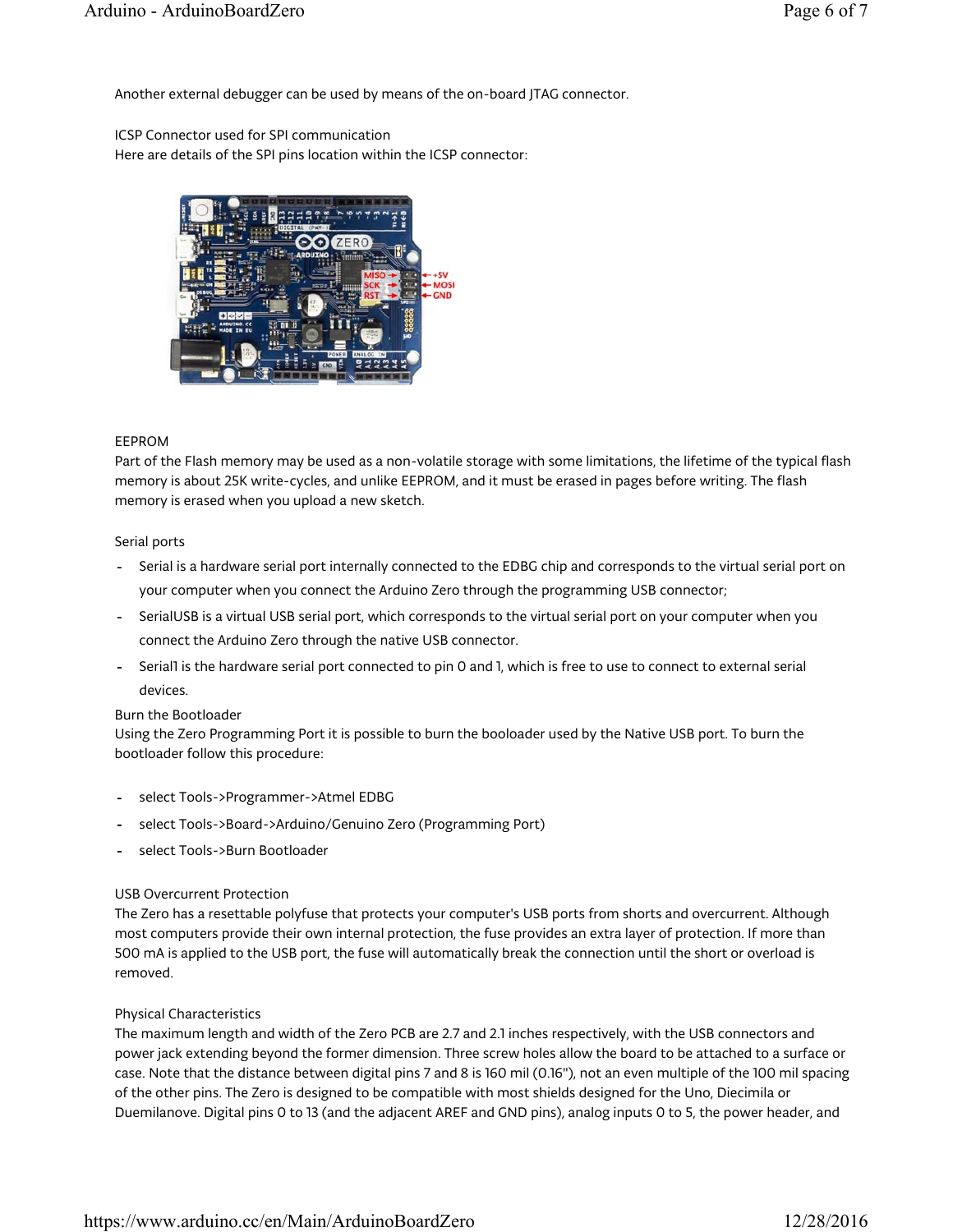Another external debugger can be used by means of the on-board JTAG connector.

ICSP Connector used for SPI communication

Here are details of the SPI pins location within the ICSP connector:



#### EEPROM

Part of the Flash memory may be used as a non-volatile storage with some limitations, the lifetime of the typical flash memory is about 25K write-cycles, and unlike EEPROM, and it must be erased in pages before writing. The flash memory is erased when you upload a new sketch.

#### Serial ports

- Serial is a hardware serial port internally connected to the EDBG chip and corresponds to the virtual serial port on your computer when you connect the Arduino Zero through the programming USB connector;
- SerialUSB is a virtual USB serial port, which corresponds to the virtual serial port on your computer when you connect the Arduino Zero through the native USB connector.
- Serial1 is the hardware serial port connected to pin 0 and 1, which is free to use to connect to external serial devices.

#### Burn the Bootloader

Using the Zero Programming Port it is possible to burn the booloader used by the Native USB port. To burn the bootloader follow this procedure:

- select Tools->Programmer->Atmel EDBG
- select Tools->Board->Arduino/Genuino Zero (Programming Port)
- select Tools->Burn Bootloader -

#### USB Overcurrent Protection

The Zero has a resettable polyfuse that protects your computer's USB ports from shorts and overcurrent. Although most computers provide their own internal protection, the fuse provides an extra layer of protection. If more than 500 mA is applied to the USB port, the fuse will automatically break the connection until the short or overload is removed.

#### Physical Characteristics

The maximum length and width of the Zero PCB are 2.7 and 2.1 inches respectively, with the USB connectors and power jack extending beyond the former dimension. Three screw holes allow the board to be attached to a surface or case. Note that the distance between digital pins 7 and 8 is 160 mil (0.16"), not an even multiple of the 100 mil spacing of the other pins. The Zero is designed to be compatible with most shields designed for the Uno, Diecimila or Duemilanove. Digital pins 0 to 13 (and the adjacent AREF and GND pins), analog inputs 0 to 5, the power header, and